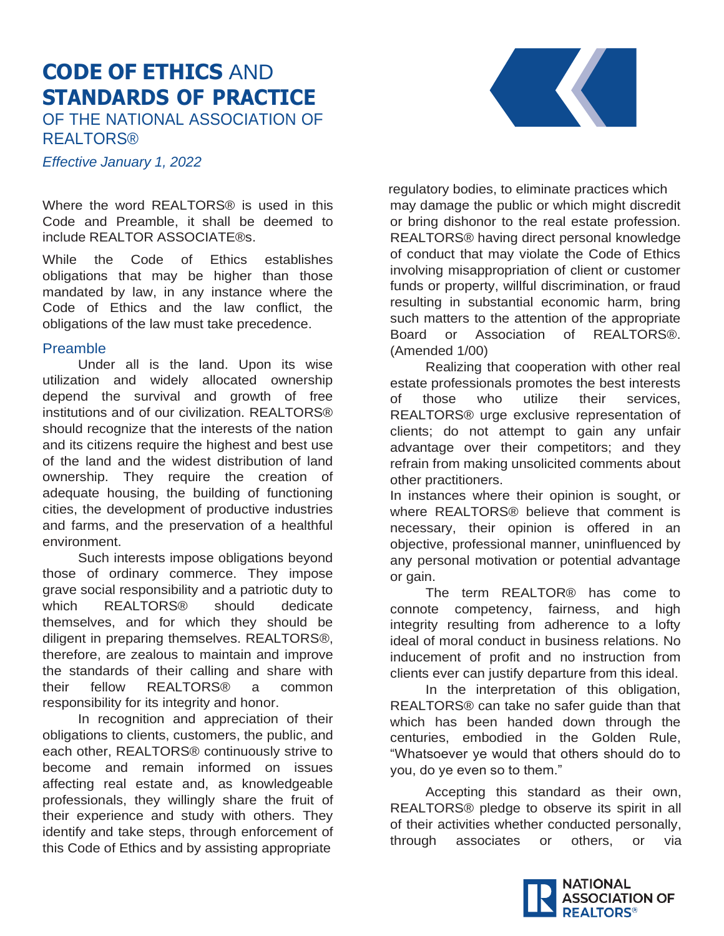# **CODE OF ETHICS** AND **STANDARDS OF PRACTICE** OF THE NATIONAL ASSOCIATION OF

**REALTORS®** 

*Effective January 1, 2022*

Where the word REALTORS® is used in this Code and Preamble, it shall be deemed to include REALTOR ASSOCIATE®s.

While the Code of Ethics establishes obligations that may be higher than those mandated by law, in any instance where the Code of Ethics and the law conflict, the obligations of the law must take precedence.

#### Preamble

Under all is the land. Upon its wise utilization and widely allocated ownership depend the survival and growth of free institutions and of our civilization. REALTORS® should recognize that the interests of the nation and its citizens require the highest and best use of the land and the widest distribution of land ownership. They require the creation of adequate housing, the building of functioning cities, the development of productive industries and farms, and the preservation of a healthful environment.

Such interests impose obligations beyond those of ordinary commerce. They impose grave social responsibility and a patriotic duty to which REALTORS<sup>®</sup> should dedicate themselves, and for which they should be diligent in preparing themselves. REALTORS®, therefore, are zealous to maintain and improve the standards of their calling and share with their fellow REALTORS® a common responsibility for its integrity and honor.

In recognition and appreciation of their obligations to clients, customers, the public, and each other, REALTORS® continuously strive to become and remain informed on issues affecting real estate and, as knowledgeable professionals, they willingly share the fruit of their experience and study with others. They identify and take steps, through enforcement of this Code of Ethics and by assisting appropriate

regulatory bodies, to eliminate practices which may damage the public or which might discredit or bring dishonor to the real estate profession.

REALTORS® having direct personal knowledge of conduct that may violate the Code of Ethics involving misappropriation of client or customer funds or property, willful discrimination, or fraud resulting in substantial economic harm, bring such matters to the attention of the appropriate Board or Association of REALTORS®. (Amended 1/00)

Realizing that cooperation with other real estate professionals promotes the best interests of those who utilize their services, REALTORS® urge exclusive representation of clients; do not attempt to gain any unfair advantage over their competitors; and they refrain from making unsolicited comments about other practitioners.

In instances where their opinion is sought, or where REALTORS® believe that comment is necessary, their opinion is offered in an objective, professional manner, uninfluenced by any personal motivation or potential advantage or gain.

The term REALTOR® has come to connote competency, fairness, and high integrity resulting from adherence to a lofty ideal of moral conduct in business relations. No inducement of profit and no instruction from clients ever can justify departure from this ideal.

In the interpretation of this obligation, REALTORS® can take no safer guide than that which has been handed down through the centuries, embodied in the Golden Rule, "Whatsoever ye would that others should do to you, do ye even so to them."

Accepting this standard as their own, REALTORS® pledge to observe its spirit in all of their activities whether conducted personally, through associates or others, or via

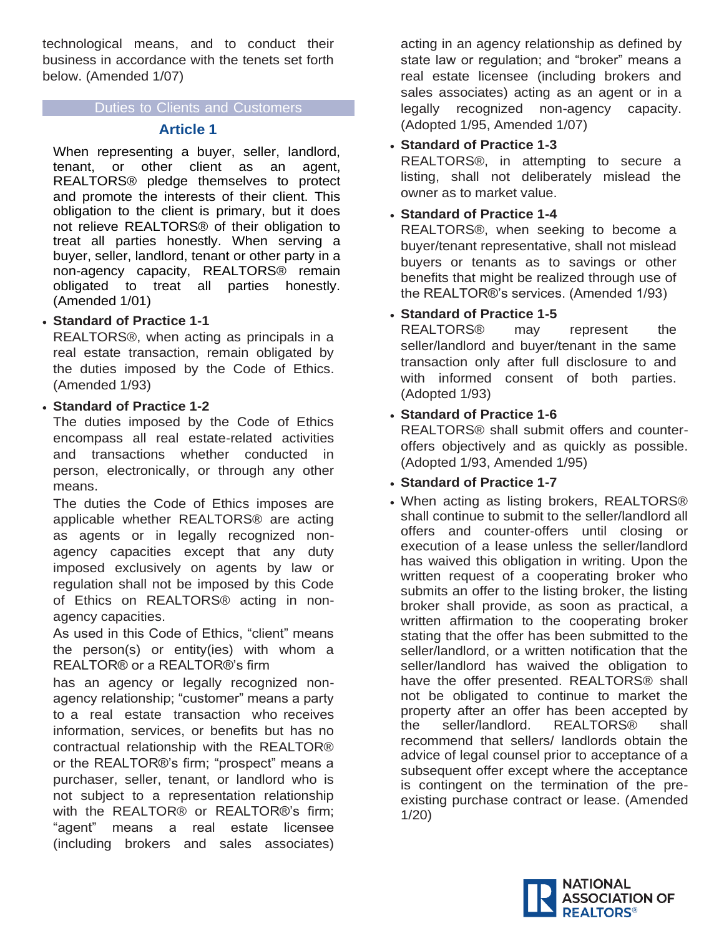technological means, and to conduct their business in accordance with the tenets set forth below. (Amended 1/07)

#### Duties to Clients and Customers

#### **Article 1**

When representing a buyer, seller, landlord, tenant, or other client as an agent, REALTORS® pledge themselves to protect and promote the interests of their client. This obligation to the client is primary, but it does not relieve REALTORS® of their obligation to treat all parties honestly. When serving a buyer, seller, landlord, tenant or other party in a non-agency capacity, REALTORS® remain obligated to treat all parties honestly. (Amended 1/01)

#### **Standard of Practice 1-1**

REALTORS®, when acting as principals in a real estate transaction, remain obligated by the duties imposed by the Code of Ethics. (Amended 1/93)

#### **Standard of Practice 1-2**

The duties imposed by the Code of Ethics encompass all real estate-related activities and transactions whether conducted in person, electronically, or through any other means.

The duties the Code of Ethics imposes are applicable whether REALTORS® are acting as agents or in legally recognized nonagency capacities except that any duty imposed exclusively on agents by law or regulation shall not be imposed by this Code of Ethics on REALTORS® acting in nonagency capacities.

As used in this Code of Ethics, "client" means the person(s) or entity(ies) with whom a REALTOR® or a REALTOR®'s firm

has an agency or legally recognized nonagency relationship; "customer" means a party to a real estate transaction who receives information, services, or benefits but has no contractual relationship with the REALTOR® or the REALTOR®'s firm; "prospect" means a purchaser, seller, tenant, or landlord who is not subject to a representation relationship with the REALTOR® or REALTOR®'s firm; "agent" means a real estate licensee (including brokers and sales associates) acting in an agency relationship as defined by state law or regulation; and "broker" means a real estate licensee (including brokers and sales associates) acting as an agent or in a legally recognized non-agency capacity. (Adopted 1/95, Amended 1/07)

#### **Standard of Practice 1-3**

REALTORS®, in attempting to secure a listing, shall not deliberately mislead the owner as to market value.

#### **Standard of Practice 1-4**

REALTORS®, when seeking to become a buyer/tenant representative, shall not mislead buyers or tenants as to savings or other benefits that might be realized through use of the REALTOR®'s services. (Amended 1/93)

#### **Standard of Practice 1-5**

REALTORS® may represent the seller/landlord and buyer/tenant in the same transaction only after full disclosure to and with informed consent of both parties. (Adopted 1/93)

#### **Standard of Practice 1-6**

REALTORS® shall submit offers and counteroffers objectively and as quickly as possible. (Adopted 1/93, Amended 1/95)

#### **Standard of Practice 1-7**

 When acting as listing brokers, REALTORS® shall continue to submit to the seller/landlord all offers and counter-offers until closing or execution of a lease unless the seller/landlord has waived this obligation in writing. Upon the written request of a cooperating broker who submits an offer to the listing broker, the listing broker shall provide, as soon as practical, a written affirmation to the cooperating broker stating that the offer has been submitted to the seller/landlord, or a written notification that the seller/landlord has waived the obligation to have the offer presented. REALTORS® shall not be obligated to continue to market the property after an offer has been accepted by the seller/landlord. REALTORS® shall recommend that sellers/ landlords obtain the advice of legal counsel prior to acceptance of a subsequent offer except where the acceptance is contingent on the termination of the preexisting purchase contract or lease. (Amended 1/20)

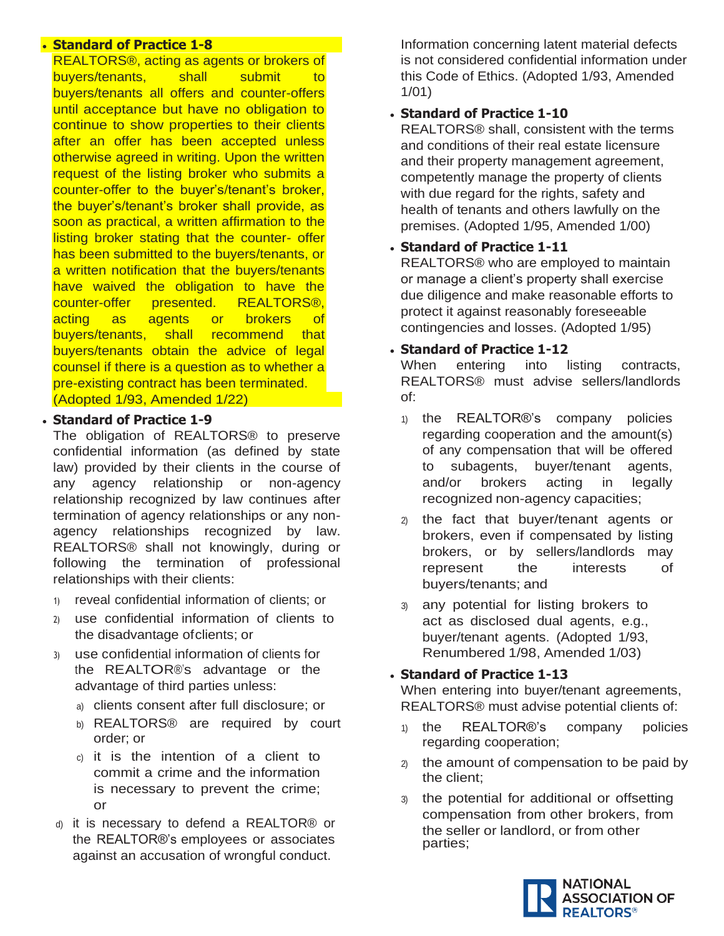#### **Standard of Practice 1-8**

REALTORS®, acting as agents or brokers of buyers/tenants, shall submit to buyers/tenants all offers and counter-offers until acceptance but have no obligation to continue to show properties to their clients after an offer has been accepted unless otherwise agreed in writing. Upon the written request of the listing broker who submits a counter-offer to the buyer's/tenant's broker, the buyer's/tenant's broker shall provide, as soon as practical, a written affirmation to the listing broker stating that the counter- offer has been submitted to the buyers/tenants, or a written notification that the buyers/tenants have waived the obligation to have the counter-offer presented. REALTORS®, acting as agents or brokers of buyers/tenants, shall recommend that buyers/tenants obtain the advice of legal counsel if there is a question as to whether a pre-existing contract has been terminated. (Adopted 1/93, Amended 1/22)

#### **Standard of Practice 1-9**

The obligation of REALTORS® to preserve confidential information (as defined by state law) provided by their clients in the course of any agency relationship or non-agency relationship recognized by law continues after termination of agency relationships or any nonagency relationships recognized by law. REALTORS® shall not knowingly, during or following the termination of professional relationships with their clients:

- 1) reveal confidential information of clients; or
- 2) use confidential information of clients to the disadvantage ofclients; or
- 3) use confidential information of clients for the REALTOR®'s advantage or the advantage of third parties unless:
	- a) clients consent after full disclosure; or
	- b) REALTORS<sup>®</sup> are required by court order; or
	- c) it is the intention of a client to commit a crime and the information is necessary to prevent the crime; or
- d) it is necessary to defend a REALTOR® or the REALTOR®'s employees or associates against an accusation of wrongful conduct.

Information concerning latent material defects is not considered confidential information under this Code of Ethics. (Adopted 1/93, Amended 1/01)

# **Standard of Practice 1-10**

REALTORS® shall, consistent with the terms and conditions of their real estate licensure and their property management agreement, competently manage the property of clients with due regard for the rights, safety and health of tenants and others lawfully on the premises. (Adopted 1/95, Amended 1/00)

## **Standard of Practice 1-11**

REALTORS® who are employed to maintain or manage a client's property shall exercise due diligence and make reasonable efforts to protect it against reasonably foreseeable contingencies and losses. (Adopted 1/95)

## **Standard of Practice 1-12**

When entering into listing contracts, REALTORS® must advise sellers/landlords of:

- 1) the REALTOR®'s company policies regarding cooperation and the amount(s) of any compensation that will be offered to subagents, buyer/tenant agents, and/or brokers acting in legally recognized non-agency capacities;
- 2) the fact that buyer/tenant agents or brokers, even if compensated by listing brokers, or by sellers/landlords may represent the interests of buyers/tenants; and
- 3) any potential for listing brokers to act as disclosed dual agents, e.g., buyer/tenant agents. (Adopted 1/93, Renumbered 1/98, Amended 1/03)

# **Standard of Practice 1-13**

When entering into buyer/tenant agreements, REALTORS® must advise potential clients of:

- 1) the REALTOR®'s company policies regarding cooperation;
- 2) the amount of compensation to be paid by the client;
- 3) the potential for additional or offsetting compensation from other brokers, from the seller or landlord, or from other parties;

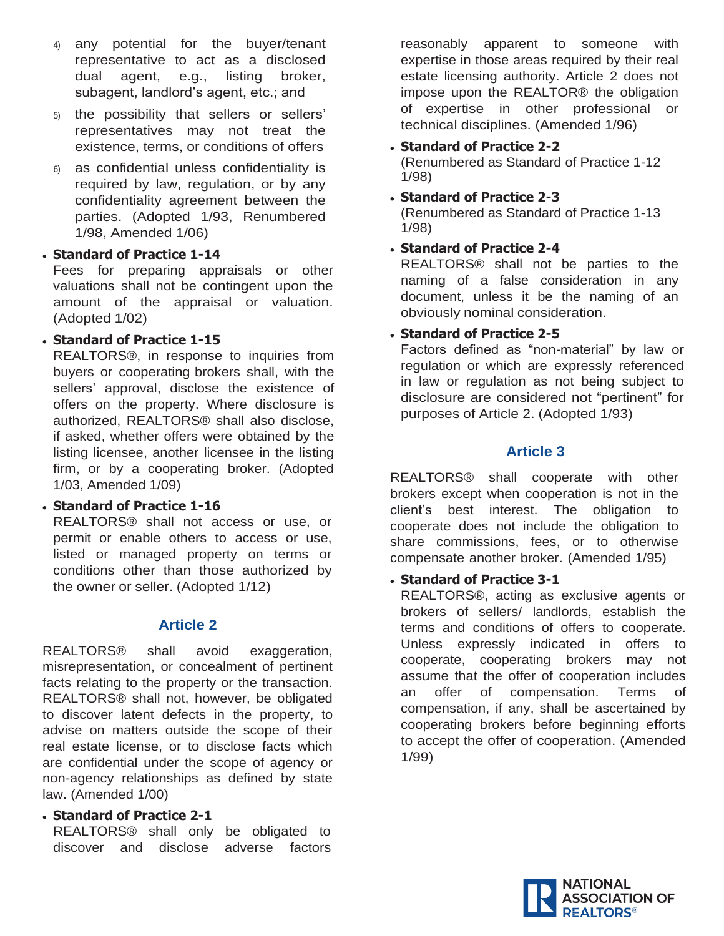- 4) any potential for the buyer/tenant representative to act as a disclosed dual agent, e.g., listing broker, subagent, landlord's agent, etc.; and
- 5) the possibility that sellers or sellers' representatives may not treat the existence, terms, or conditions of offers
- 6) as confidential unless confidentiality is required by law, regulation, or by any confidentiality agreement between the parties. (Adopted 1/93, Renumbered 1/98, Amended 1/06)

## **Standard of Practice 1-14**

Fees for preparing appraisals or other valuations shall not be contingent upon the amount of the appraisal or valuation. (Adopted 1/02)

#### **Standard of Practice 1-15**

REALTORS®, in response to inquiries from buyers or cooperating brokers shall, with the sellers' approval, disclose the existence of offers on the property. Where disclosure is authorized, REALTORS® shall also disclose, if asked, whether offers were obtained by the listing licensee, another licensee in the listing firm, or by a cooperating broker. (Adopted 1/03, Amended 1/09)

#### **Standard of Practice 1-16**

REALTORS® shall not access or use, or permit or enable others to access or use, listed or managed property on terms or conditions other than those authorized by the owner or seller. (Adopted 1/12)

## **Article 2**

REALTORS® shall avoid exaggeration, misrepresentation, or concealment of pertinent facts relating to the property or the transaction. REALTORS® shall not, however, be obligated to discover latent defects in the property, to advise on matters outside the scope of their real estate license, or to disclose facts which are confidential under the scope of agency or non-agency relationships as defined by state law. (Amended 1/00)

**Standard of Practice 2-1**

REALTORS® shall only be obligated to discover and disclose adverse factors reasonably apparent to someone with expertise in those areas required by their real estate licensing authority. Article 2 does not impose upon the REALTOR® the obligation of expertise in other professional or technical disciplines. (Amended 1/96)

**Standard of Practice 2-2**

(Renumbered as Standard of Practice 1-12 1/98)

**Standard of Practice 2-3**

(Renumbered as Standard of Practice 1-13 1/98)

## **Standard of Practice 2-4**

REALTORS® shall not be parties to the naming of a false consideration in any document, unless it be the naming of an obviously nominal consideration.

## **Standard of Practice 2-5**

Factors defined as "non-material" by law or regulation or which are expressly referenced in law or regulation as not being subject to disclosure are considered not "pertinent" for purposes of Article 2. (Adopted 1/93)

## **Article 3**

REALTORS® shall cooperate with other brokers except when cooperation is not in the client's best interest. The obligation to cooperate does not include the obligation to share commissions, fees, or to otherwise compensate another broker. (Amended 1/95)

#### **Standard of Practice 3-1**

REALTORS®, acting as exclusive agents or brokers of sellers/ landlords, establish the terms and conditions of offers to cooperate. Unless expressly indicated in offers to cooperate, cooperating brokers may not assume that the offer of cooperation includes an offer of compensation. Terms of compensation, if any, shall be ascertained by cooperating brokers before beginning efforts to accept the offer of cooperation. (Amended 1/99)

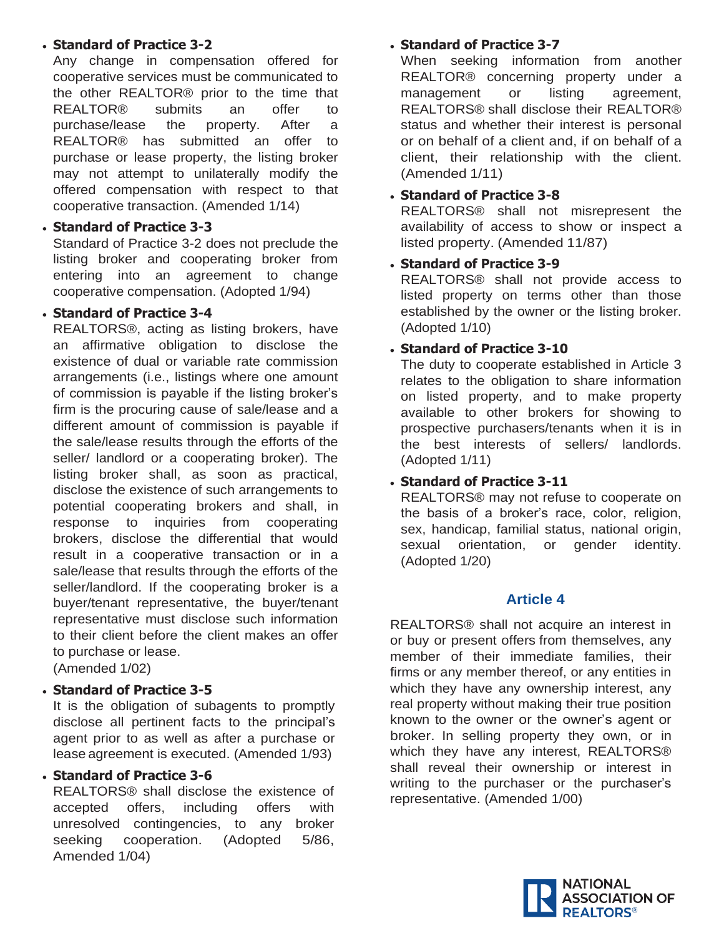## **Standard of Practice 3-2**

Any change in compensation offered for cooperative services must be communicated to the other REALTOR® prior to the time that REALTOR® submits an offer to purchase/lease the property. After a REALTOR® has submitted an offer to purchase or lease property, the listing broker may not attempt to unilaterally modify the offered compensation with respect to that cooperative transaction. (Amended 1/14)

## **Standard of Practice 3-3**

Standard of Practice 3-2 does not preclude the listing broker and cooperating broker from entering into an agreement to change cooperative compensation. (Adopted 1/94)

## **Standard of Practice 3-4**

REALTORS®, acting as listing brokers, have an affirmative obligation to disclose the existence of dual or variable rate commission arrangements (i.e., listings where one amount of commission is payable if the listing broker's firm is the procuring cause of sale/lease and a different amount of commission is payable if the sale/lease results through the efforts of the seller/ landlord or a cooperating broker). The listing broker shall, as soon as practical, disclose the existence of such arrangements to potential cooperating brokers and shall, in response to inquiries from cooperating brokers, disclose the differential that would result in a cooperative transaction or in a sale/lease that results through the efforts of the seller/landlord. If the cooperating broker is a buyer/tenant representative, the buyer/tenant representative must disclose such information to their client before the client makes an offer to purchase or lease.

(Amended 1/02)

# **Standard of Practice 3-5**

It is the obligation of subagents to promptly disclose all pertinent facts to the principal's agent prior to as well as after a purchase or lease agreement is executed. (Amended 1/93)

## **Standard of Practice 3-6**

REALTORS® shall disclose the existence of accepted offers, including offers with unresolved contingencies, to any broker seeking cooperation. (Adopted 5/86, Amended 1/04)

# **Standard of Practice 3-7**

When seeking information from another REALTOR® concerning property under a management or listing agreement, REALTORS® shall disclose their REALTOR® status and whether their interest is personal or on behalf of a client and, if on behalf of a client, their relationship with the client. (Amended 1/11)

# **Standard of Practice 3-8**

REALTORS® shall not misrepresent the availability of access to show or inspect a listed property. (Amended 11/87)

# **Standard of Practice 3-9**

REALTORS® shall not provide access to listed property on terms other than those established by the owner or the listing broker. (Adopted 1/10)

## **Standard of Practice 3-10**

The duty to cooperate established in Article 3 relates to the obligation to share information on listed property, and to make property available to other brokers for showing to prospective purchasers/tenants when it is in the best interests of sellers/ landlords. (Adopted 1/11)

## **Standard of Practice 3-11**

REALTORS® may not refuse to cooperate on the basis of a broker's race, color, religion, sex, handicap, familial status, national origin, sexual orientation, or gender identity. (Adopted 1/20)

# **Article 4**

REALTORS® shall not acquire an interest in or buy or present offers from themselves, any member of their immediate families, their firms or any member thereof, or any entities in which they have any ownership interest, any real property without making their true position known to the owner or the owner's agent or broker. In selling property they own, or in which they have any interest, REALTORS® shall reveal their ownership or interest in writing to the purchaser or the purchaser's representative. (Amended 1/00)

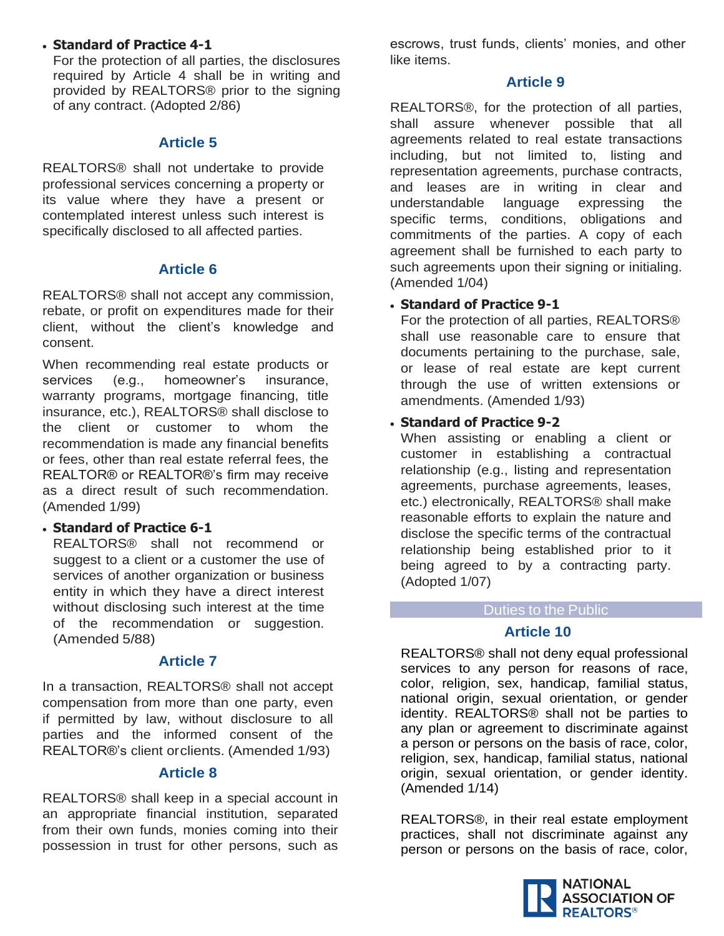#### **Standard of Practice 4-1**

For the protection of all parties, the disclosures required by Article 4 shall be in writing and provided by REALTORS® prior to the signing of any contract. (Adopted 2/86)

#### **Article 5**

REALTORS® shall not undertake to provide professional services concerning a property or its value where they have a present or contemplated interest unless such interest is specifically disclosed to all affected parties.

## **Article 6**

REALTORS® shall not accept any commission, rebate, or profit on expenditures made for their client, without the client's knowledge and consent.

When recommending real estate products or services (e.g., homeowner's insurance, warranty programs, mortgage financing, title insurance, etc.), REALTORS® shall disclose to the client or customer to whom the recommendation is made any financial benefits or fees, other than real estate referral fees, the REALTOR® or REALTOR®'s firm may receive as a direct result of such recommendation. (Amended 1/99)

#### **Standard of Practice 6-1**

REALTORS® shall not recommend or suggest to a client or a customer the use of services of another organization or business entity in which they have a direct interest without disclosing such interest at the time of the recommendation or suggestion. (Amended 5/88)

## **Article 7**

In a transaction, REALTORS® shall not accept compensation from more than one party, even if permitted by law, without disclosure to all parties and the informed consent of the REALTOR®'s client orclients. (Amended 1/93)

#### **Article 8**

REALTORS® shall keep in a special account in an appropriate financial institution, separated from their own funds, monies coming into their possession in trust for other persons, such as escrows, trust funds, clients' monies, and other like items.

#### **Article 9**

REALTORS®, for the protection of all parties, shall assure whenever possible that all agreements related to real estate transactions including, but not limited to, listing and representation agreements, purchase contracts, and leases are in writing in clear and understandable language expressing the specific terms, conditions, obligations and commitments of the parties. A copy of each agreement shall be furnished to each party to such agreements upon their signing or initialing. (Amended 1/04)

#### **Standard of Practice 9-1**

For the protection of all parties, REALTORS® shall use reasonable care to ensure that documents pertaining to the purchase, sale, or lease of real estate are kept current through the use of written extensions or amendments. (Amended 1/93)

#### **Standard of Practice 9-2**

When assisting or enabling a client or customer in establishing a contractual relationship (e.g., listing and representation agreements, purchase agreements, leases, etc.) electronically, REALTORS® shall make reasonable efforts to explain the nature and disclose the specific terms of the contractual relationship being established prior to it being agreed to by a contracting party. (Adopted 1/07)

#### Duties to the Public

#### **Article 10**

REALTORS® shall not deny equal professional services to any person for reasons of race, color, religion, sex, handicap, familial status, national origin, sexual orientation, or gender identity. REALTORS® shall not be parties to any plan or agreement to discriminate against a person or persons on the basis of race, color, religion, sex, handicap, familial status, national origin, sexual orientation, or gender identity. (Amended 1/14)

REALTORS®, in their real estate employment practices, shall not discriminate against any person or persons on the basis of race, color,

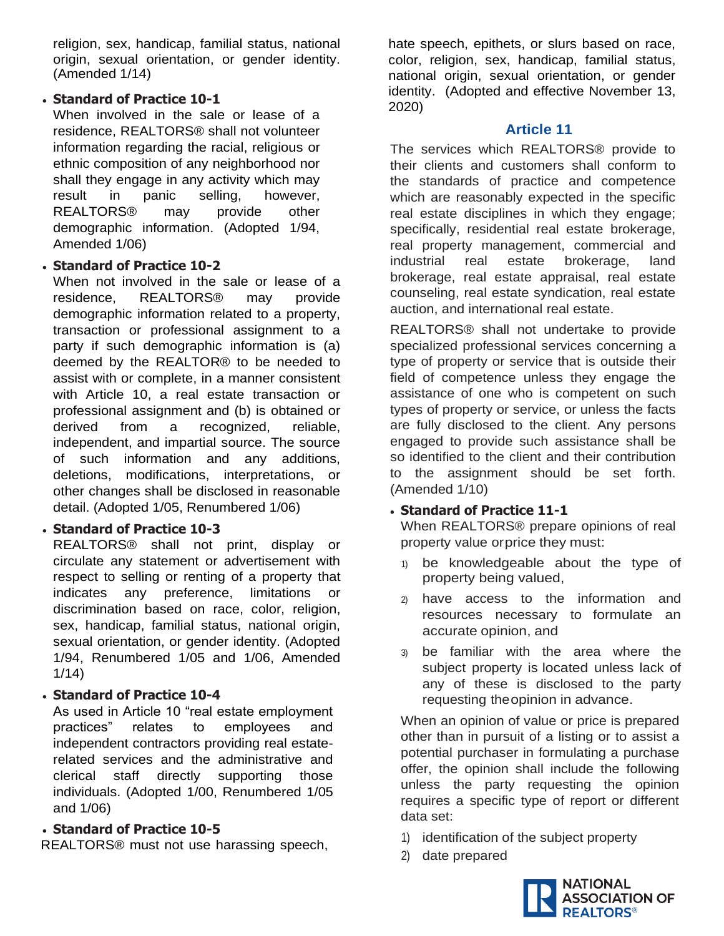religion, sex, handicap, familial status, national origin, sexual orientation, or gender identity. (Amended 1/14)

## **Standard of Practice 10-1**

When involved in the sale or lease of a residence, REALTORS® shall not volunteer information regarding the racial, religious or ethnic composition of any neighborhood nor shall they engage in any activity which may result in panic selling, however, REALTORS® may provide other demographic information. (Adopted 1/94, Amended 1/06)

## **Standard of Practice 10-2**

When not involved in the sale or lease of a residence, REALTORS® may provide demographic information related to a property, transaction or professional assignment to a party if such demographic information is (a) deemed by the REALTOR® to be needed to assist with or complete, in a manner consistent with Article 10, a real estate transaction or professional assignment and (b) is obtained or derived from a recognized, reliable, independent, and impartial source. The source of such information and any additions, deletions, modifications, interpretations, or other changes shall be disclosed in reasonable detail. (Adopted 1/05, Renumbered 1/06)

#### **Standard of Practice 10-3**

REALTORS® shall not print, display or circulate any statement or advertisement with respect to selling or renting of a property that indicates any preference, limitations or discrimination based on race, color, religion, sex, handicap, familial status, national origin, sexual orientation, or gender identity. (Adopted 1/94, Renumbered 1/05 and 1/06, Amended 1/14)

## **Standard of Practice 10-4**

As used in Article 10 "real estate employment practices" relates to employees and independent contractors providing real estaterelated services and the administrative and clerical staff directly supporting those individuals. (Adopted 1/00, Renumbered 1/05 and 1/06)

## **Standard of Practice 10-5**

REALTORS® must not use harassing speech,

hate speech, epithets, or slurs based on race, color, religion, sex, handicap, familial status, national origin, sexual orientation, or gender identity. (Adopted and effective November 13, 2020)

## **Article 11**

The services which REALTORS® provide to their clients and customers shall conform to the standards of practice and competence which are reasonably expected in the specific real estate disciplines in which they engage; specifically, residential real estate brokerage, real property management, commercial and industrial real estate brokerage, land brokerage, real estate appraisal, real estate counseling, real estate syndication, real estate auction, and international real estate.

REALTORS® shall not undertake to provide specialized professional services concerning a type of property or service that is outside their field of competence unless they engage the assistance of one who is competent on such types of property or service, or unless the facts are fully disclosed to the client. Any persons engaged to provide such assistance shall be so identified to the client and their contribution to the assignment should be set forth. (Amended 1/10)

## **Standard of Practice 11-1**

When REALTORS® prepare opinions of real property value orprice they must:

- 1) be knowledgeable about the type of property being valued,
- 2) have access to the information and resources necessary to formulate an accurate opinion, and
- 3) be familiar with the area where the subject property is located unless lack of any of these is disclosed to the party requesting theopinion in advance.

When an opinion of value or price is prepared other than in pursuit of a listing or to assist a potential purchaser in formulating a purchase offer, the opinion shall include the following unless the party requesting the opinion requires a specific type of report or different data set:

- 1) identification of the subject property
- 2) date prepared

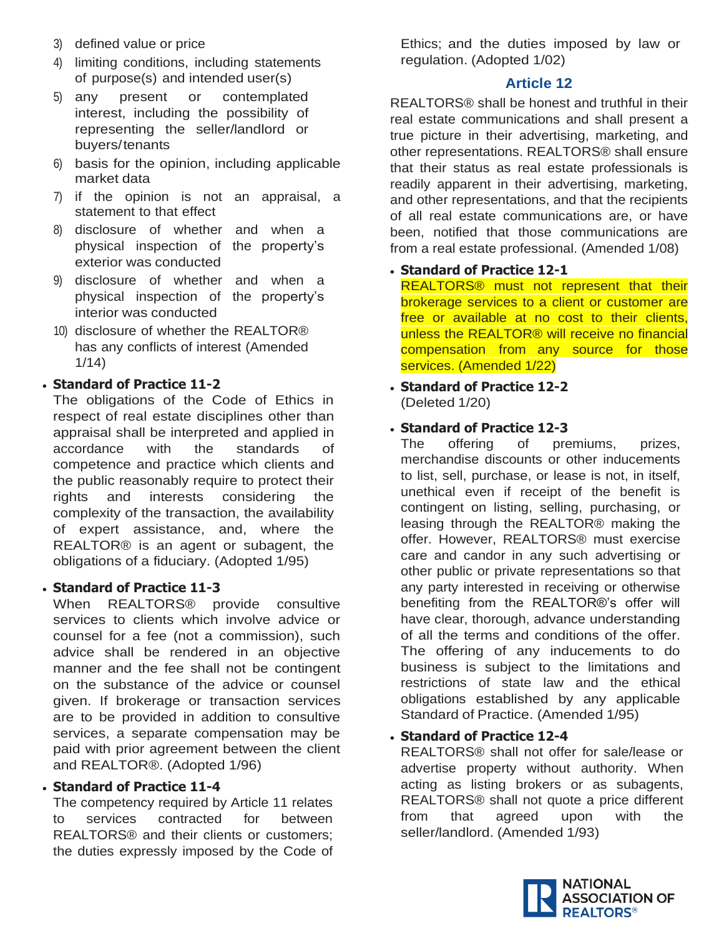- 3) defined value or price
- 4) limiting conditions, including statements of purpose(s) and intended user(s)
- 5) any present or contemplated interest, including the possibility of representing the seller/landlord or buyers/tenants
- 6) basis for the opinion, including applicable market data
- 7) if the opinion is not an appraisal, a statement to that effect
- 8) disclosure of whether and when a physical inspection of the property's exterior was conducted
- 9) disclosure of whether and when a physical inspection of the property's interior was conducted
- 10) disclosure of whether the REALTOR® has any conflicts of interest (Amended 1/14)

## **Standard of Practice 11-2**

The obligations of the Code of Ethics in respect of real estate disciplines other than appraisal shall be interpreted and applied in accordance with the standards of competence and practice which clients and the public reasonably require to protect their rights and interests considering the complexity of the transaction, the availability of expert assistance, and, where the REALTOR® is an agent or subagent, the obligations of a fiduciary. (Adopted 1/95)

## **Standard of Practice 11-3**

When REALTORS® provide consultive services to clients which involve advice or counsel for a fee (not a commission), such advice shall be rendered in an objective manner and the fee shall not be contingent on the substance of the advice or counsel given. If brokerage or transaction services are to be provided in addition to consultive services, a separate compensation may be paid with prior agreement between the client and REALTOR®. (Adopted 1/96)

#### **Standard of Practice 11-4**

The competency required by Article 11 relates to services contracted for between REALTORS® and their clients or customers; the duties expressly imposed by the Code of Ethics; and the duties imposed by law or regulation. (Adopted 1/02)

#### **Article 12**

REALTORS® shall be honest and truthful in their real estate communications and shall present a true picture in their advertising, marketing, and other representations. REALTORS® shall ensure that their status as real estate professionals is readily apparent in their advertising, marketing, and other representations, and that the recipients of all real estate communications are, or have been, notified that those communications are from a real estate professional. (Amended 1/08)

## **Standard of Practice 12-1**

REALTORS<sup>®</sup> must not represent that their brokerage services to a client or customer are free or available at no cost to their clients, unless the REALTOR® will receive no financial compensation from any source for those services. (Amended 1/22)

 **Standard of Practice 12-2** (Deleted 1/20)

## **Standard of Practice 12-3**

The offering of premiums, prizes, merchandise discounts or other inducements to list, sell, purchase, or lease is not, in itself, unethical even if receipt of the benefit is contingent on listing, selling, purchasing, or leasing through the REALTOR® making the offer. However, REALTORS® must exercise care and candor in any such advertising or other public or private representations so that any party interested in receiving or otherwise benefiting from the REALTOR®'s offer will have clear, thorough, advance understanding of all the terms and conditions of the offer. The offering of any inducements to do business is subject to the limitations and restrictions of state law and the ethical obligations established by any applicable Standard of Practice. (Amended 1/95)

## **Standard of Practice 12-4**

REALTORS® shall not offer for sale/lease or advertise property without authority. When acting as listing brokers or as subagents, REALTORS® shall not quote a price different from that agreed upon with the seller/landlord. (Amended 1/93)

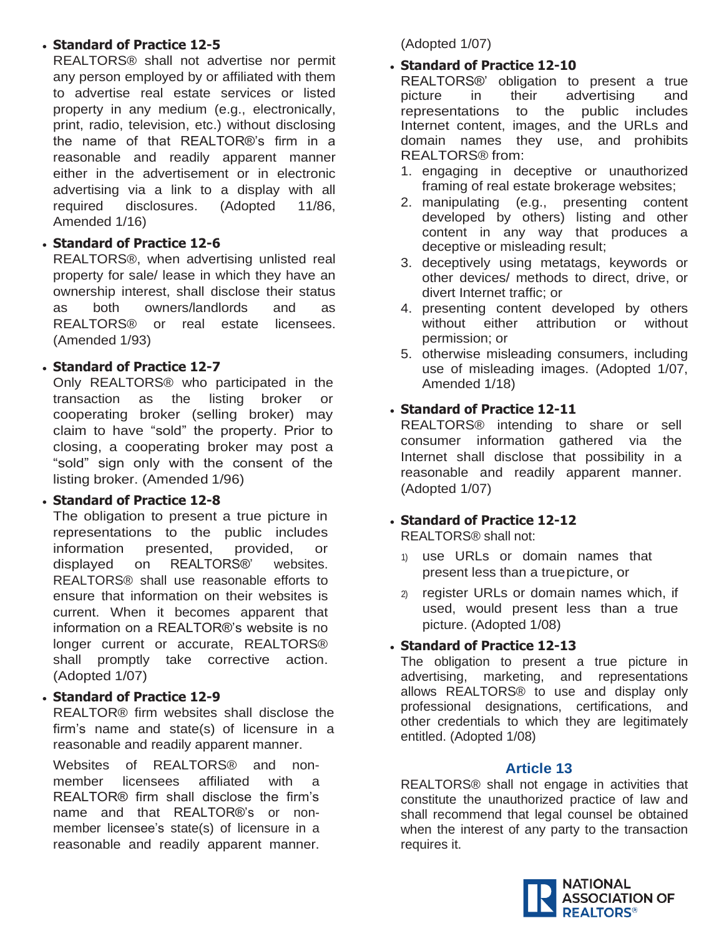# **Standard of Practice 12-5**

REALTORS® shall not advertise nor permit any person employed by or affiliated with them to advertise real estate services or listed property in any medium (e.g., electronically, print, radio, television, etc.) without disclosing the name of that REALTOR®'s firm in a reasonable and readily apparent manner either in the advertisement or in electronic advertising via a link to a display with all required disclosures. (Adopted 11/86, Amended 1/16)

# **Standard of Practice 12-6**

REALTORS®, when advertising unlisted real property for sale/ lease in which they have an ownership interest, shall disclose their status as both owners/landlords and as REALTORS® or real estate licensees. (Amended 1/93)

# **Standard of Practice 12-7**

Only REALTORS® who participated in the transaction as the listing broker or cooperating broker (selling broker) may claim to have "sold" the property. Prior to closing, a cooperating broker may post a "sold" sign only with the consent of the listing broker. (Amended 1/96)

## **Standard of Practice 12-8**

The obligation to present a true picture in representations to the public includes information presented, provided, or displayed on REALTORS®' websites. REALTORS® shall use reasonable efforts to ensure that information on their websites is current. When it becomes apparent that information on a REALTOR®'s website is no longer current or accurate, REALTORS® shall promptly take corrective action. (Adopted 1/07)

# **Standard of Practice 12-9**

REALTOR® firm websites shall disclose the firm's name and state(s) of licensure in a reasonable and readily apparent manner.

Websites of RFALTORS® and nonmember licensees affiliated with a REALTOR® firm shall disclose the firm's name and that REALTOR®'s or nonmember licensee's state(s) of licensure in a reasonable and readily apparent manner.

## (Adopted 1/07)

# **Standard of Practice 12-10**

REALTORS®' obligation to present a true picture in their advertising and representations to the public includes Internet content, images, and the URLs and domain names they use, and prohibits REALTORS® from:

- 1. engaging in deceptive or unauthorized framing of real estate brokerage websites;
- 2. manipulating (e.g., presenting content developed by others) listing and other content in any way that produces a deceptive or misleading result;
- 3. deceptively using metatags, keywords or other devices/ methods to direct, drive, or divert Internet traffic; or
- 4. presenting content developed by others without either attribution or without permission; or
- 5. otherwise misleading consumers, including use of misleading images. (Adopted 1/07, Amended 1/18)

# **Standard of Practice 12-11**

REALTORS® intending to share or sell consumer information gathered via the Internet shall disclose that possibility in a reasonable and readily apparent manner. (Adopted 1/07)

# **Standard of Practice 12-12**

REALTORS® shall not:

- 1) use URLs or domain names that present less than a truepicture, or
- 2) register URLs or domain names which, if used, would present less than a true picture. (Adopted 1/08)

## **Standard of Practice 12-13**

The obligation to present a true picture in advertising, marketing, and representations allows REALTORS® to use and display only professional designations, certifications, and other credentials to which they are legitimately entitled. (Adopted 1/08)

## **Article 13**

REALTORS® shall not engage in activities that constitute the unauthorized practice of law and shall recommend that legal counsel be obtained when the interest of any party to the transaction requires it.

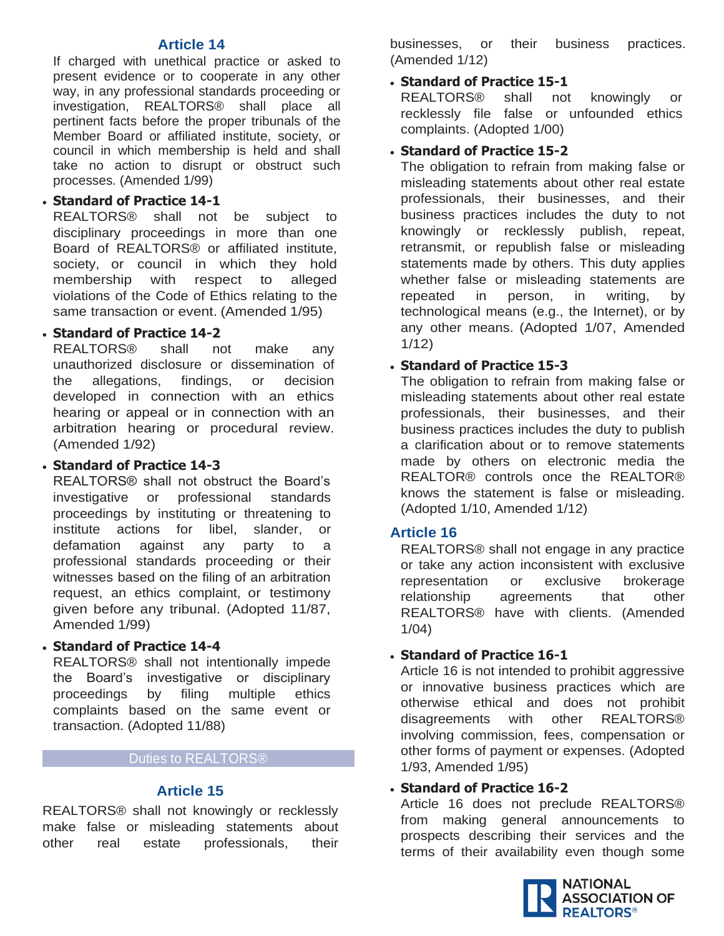# **Article 14**

If charged with unethical practice or asked to present evidence or to cooperate in any other way, in any professional standards proceeding or investigation, REALTORS® shall place all pertinent facts before the proper tribunals of the Member Board or affiliated institute, society, or council in which membership is held and shall take no action to disrupt or obstruct such processes. (Amended 1/99)

#### **Standard of Practice 14-1**

REALTORS® shall not be subject to disciplinary proceedings in more than one Board of REALTORS® or affiliated institute, society, or council in which they hold membership with respect to alleged violations of the Code of Ethics relating to the same transaction or event. (Amended 1/95)

## **Standard of Practice 14-2**

REALTORS® shall not make any unauthorized disclosure or dissemination of the allegations, findings, or decision developed in connection with an ethics hearing or appeal or in connection with an arbitration hearing or procedural review. (Amended 1/92)

## **Standard of Practice 14-3**

REALTORS® shall not obstruct the Board's investigative or professional standards proceedings by instituting or threatening to institute actions for libel, slander, or defamation against any party to a professional standards proceeding or their witnesses based on the filing of an arbitration request, an ethics complaint, or testimony given before any tribunal. (Adopted 11/87, Amended 1/99)

## **Standard of Practice 14-4**

REALTORS® shall not intentionally impede the Board's investigative or disciplinary proceedings by filing multiple ethics complaints based on the same event or transaction. (Adopted 11/88)

#### **Duties to REALTORS®**

## **Article 15**

REALTORS® shall not knowingly or recklessly make false or misleading statements about other real estate professionals, their businesses, or their business practices. (Amended 1/12)

#### **Standard of Practice 15-1**

REALTORS® shall not knowingly or recklessly file false or unfounded ethics complaints. (Adopted 1/00)

#### **Standard of Practice 15-2**

The obligation to refrain from making false or misleading statements about other real estate professionals, their businesses, and their business practices includes the duty to not knowingly or recklessly publish, repeat, retransmit, or republish false or misleading statements made by others. This duty applies whether false or misleading statements are repeated in person, in writing, by technological means (e.g., the Internet), or by any other means. (Adopted 1/07, Amended 1/12)

## **Standard of Practice 15-3**

The obligation to refrain from making false or misleading statements about other real estate professionals, their businesses, and their business practices includes the duty to publish a clarification about or to remove statements made by others on electronic media the REALTOR® controls once the REALTOR® knows the statement is false or misleading. (Adopted 1/10, Amended 1/12)

## **Article 16**

REALTORS® shall not engage in any practice or take any action inconsistent with exclusive representation or exclusive brokerage relationship agreements that other REALTORS® have with clients. (Amended 1/04)

## **Standard of Practice 16-1**

Article 16 is not intended to prohibit aggressive or innovative business practices which are otherwise ethical and does not prohibit disagreements with other REALTORS® involving commission, fees, compensation or other forms of payment or expenses. (Adopted 1/93, Amended 1/95)

## **Standard of Practice 16-2**

Article 16 does not preclude REALTORS® from making general announcements to prospects describing their services and the terms of their availability even though some

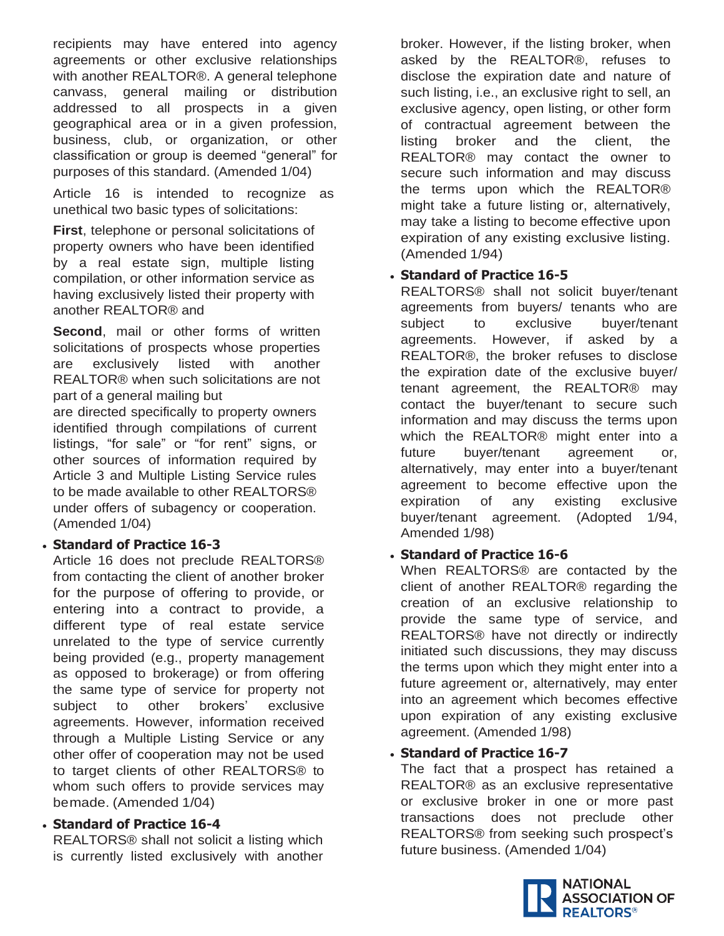recipients may have entered into agency agreements or other exclusive relationships with another REALTOR®. A general telephone canvass, general mailing or distribution addressed to all prospects in a given geographical area or in a given profession, business, club, or organization, or other classification or group is deemed "general" for purposes of this standard. (Amended 1/04)

Article 16 is intended to recognize as unethical two basic types of solicitations:

**First**, telephone or personal solicitations of property owners who have been identified by a real estate sign, multiple listing compilation, or other information service as having exclusively listed their property with another REALTOR® and

**Second**, mail or other forms of written solicitations of prospects whose properties are exclusively listed with another REALTOR® when such solicitations are not part of a general mailing but

are directed specifically to property owners identified through compilations of current listings, "for sale" or "for rent" signs, or other sources of information required by Article 3 and Multiple Listing Service rules to be made available to other REALTORS® under offers of subagency or cooperation. (Amended 1/04)

## **Standard of Practice 16-3**

Article 16 does not preclude REALTORS® from contacting the client of another broker for the purpose of offering to provide, or entering into a contract to provide, a different type of real estate service unrelated to the type of service currently being provided (e.g., property management as opposed to brokerage) or from offering the same type of service for property not subject to other brokers' exclusive agreements. However, information received through a Multiple Listing Service or any other offer of cooperation may not be used to target clients of other REALTORS® to whom such offers to provide services may bemade. (Amended 1/04)

## **Standard of Practice 16-4**

REALTORS® shall not solicit a listing which is currently listed exclusively with another broker. However, if the listing broker, when asked by the REALTOR®, refuses to disclose the expiration date and nature of such listing, i.e., an exclusive right to sell, an exclusive agency, open listing, or other form of contractual agreement between the listing broker and the client, the REALTOR® may contact the owner to secure such information and may discuss the terms upon which the REALTOR® might take a future listing or, alternatively, may take a listing to become effective upon expiration of any existing exclusive listing. (Amended 1/94)

# **Standard of Practice 16-5**

REALTORS® shall not solicit buyer/tenant agreements from buyers/ tenants who are subject to exclusive buyer/tenant agreements. However, if asked by a REALTOR®, the broker refuses to disclose the expiration date of the exclusive buyer/ tenant agreement, the REALTOR® may contact the buyer/tenant to secure such information and may discuss the terms upon which the REALTOR® might enter into a future buyer/tenant agreement or, alternatively, may enter into a buyer/tenant agreement to become effective upon the expiration of any existing exclusive buyer/tenant agreement. (Adopted 1/94, Amended 1/98)

# **Standard of Practice 16-6**

When REALTORS® are contacted by the client of another REALTOR® regarding the creation of an exclusive relationship to provide the same type of service, and REALTORS® have not directly or indirectly initiated such discussions, they may discuss the terms upon which they might enter into a future agreement or, alternatively, may enter into an agreement which becomes effective upon expiration of any existing exclusive agreement. (Amended 1/98)

## **Standard of Practice 16-7**

The fact that a prospect has retained a REALTOR® as an exclusive representative or exclusive broker in one or more past transactions does not preclude other REALTORS® from seeking such prospect's future business. (Amended 1/04)

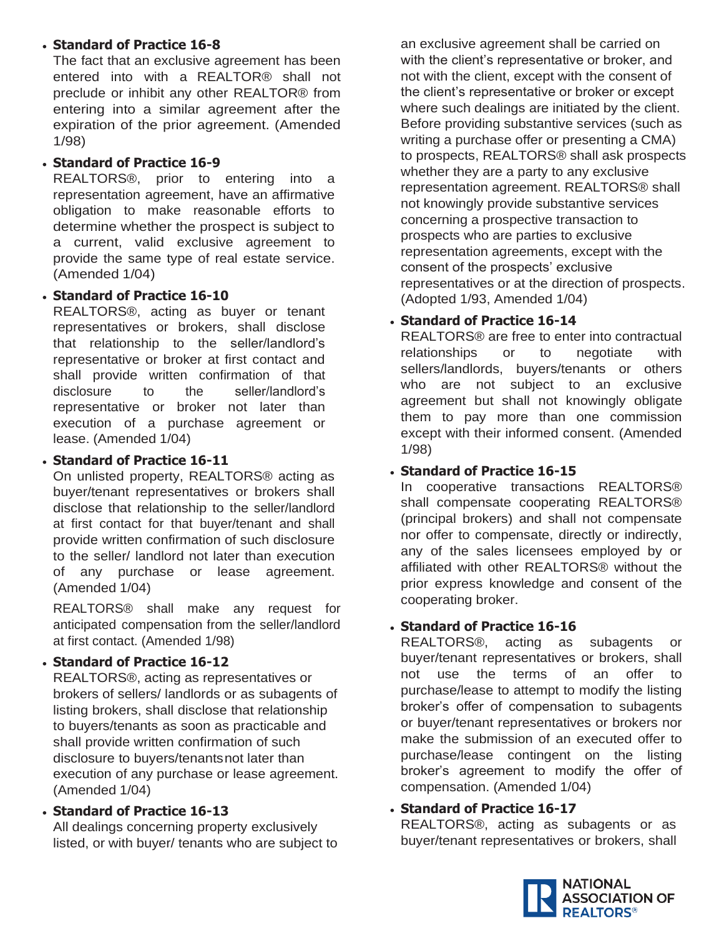# **Standard of Practice 16-8**

The fact that an exclusive agreement has been entered into with a REALTOR® shall not preclude or inhibit any other REALTOR® from entering into a similar agreement after the expiration of the prior agreement. (Amended 1/98)

# **Standard of Practice 16-9**

REALTORS®, prior to entering into a representation agreement, have an affirmative obligation to make reasonable efforts to determine whether the prospect is subject to a current, valid exclusive agreement to provide the same type of real estate service. (Amended 1/04)

# **Standard of Practice 16-10**

REALTORS®, acting as buyer or tenant representatives or brokers, shall disclose that relationship to the seller/landlord's representative or broker at first contact and shall provide written confirmation of that disclosure to the seller/landlord's representative or broker not later than execution of a purchase agreement or lease. (Amended 1/04)

# **Standard of Practice 16-11**

On unlisted property, REALTORS® acting as buyer/tenant representatives or brokers shall disclose that relationship to the seller/landlord at first contact for that buyer/tenant and shall provide written confirmation of such disclosure to the seller/ landlord not later than execution of any purchase or lease agreement. (Amended 1/04)

REALTORS® shall make any request for anticipated compensation from the seller/landlord at first contact. (Amended 1/98)

# **Standard of Practice 16-12**

REALTORS®, acting as representatives or brokers of sellers/ landlords or as subagents of listing brokers, shall disclose that relationship to buyers/tenants as soon as practicable and shall provide written confirmation of such disclosure to buyers/tenantsnot later than execution of any purchase or lease agreement. (Amended 1/04)

# **Standard of Practice 16-13**

All dealings concerning property exclusively listed, or with buyer/ tenants who are subject to an exclusive agreement shall be carried on with the client's representative or broker, and not with the client, except with the consent of the client's representative or broker or except where such dealings are initiated by the client. Before providing substantive services (such as writing a purchase offer or presenting a CMA) to prospects, REALTORS® shall ask prospects whether they are a party to any exclusive representation agreement. REALTORS® shall not knowingly provide substantive services concerning a prospective transaction to prospects who are parties to exclusive representation agreements, except with the consent of the prospects' exclusive representatives or at the direction of prospects. (Adopted 1/93, Amended 1/04)

# **Standard of Practice 16-14**

REALTORS® are free to enter into contractual relationships or to negotiate with sellers/landlords, buyers/tenants or others who are not subject to an exclusive agreement but shall not knowingly obligate them to pay more than one commission except with their informed consent. (Amended 1/98)

# **Standard of Practice 16-15**

In cooperative transactions REALTORS® shall compensate cooperating REALTORS® (principal brokers) and shall not compensate nor offer to compensate, directly or indirectly, any of the sales licensees employed by or affiliated with other REALTORS® without the prior express knowledge and consent of the cooperating broker.

# **Standard of Practice 16-16**

REALTORS®, acting as subagents or buyer/tenant representatives or brokers, shall not use the terms of an offer to purchase/lease to attempt to modify the listing broker's offer of compensation to subagents or buyer/tenant representatives or brokers nor make the submission of an executed offer to purchase/lease contingent on the listing broker's agreement to modify the offer of compensation. (Amended 1/04)

# **Standard of Practice 16-17**

REALTORS®, acting as subagents or as buyer/tenant representatives or brokers, shall

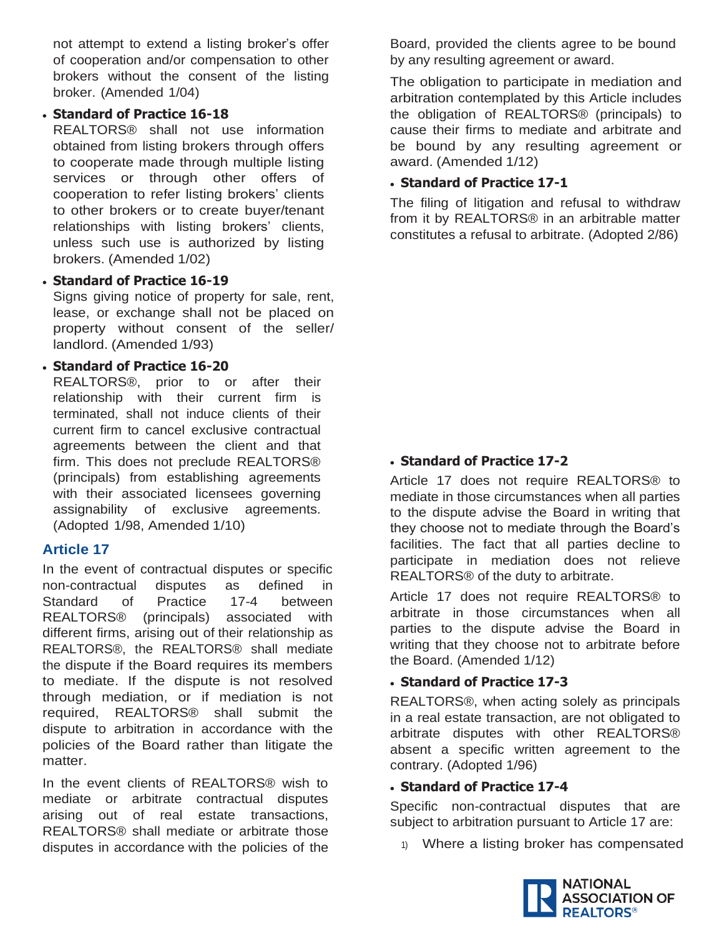not attempt to extend a listing broker's offer of cooperation and/or compensation to other brokers without the consent of the listing broker. (Amended 1/04)

# **Standard of Practice 16-18**

REALTORS® shall not use information obtained from listing brokers through offers to cooperate made through multiple listing services or through other offers of cooperation to refer listing brokers' clients to other brokers or to create buyer/tenant relationships with listing brokers' clients, unless such use is authorized by listing brokers. (Amended 1/02)

# **Standard of Practice 16-19**

Signs giving notice of property for sale, rent, lease, or exchange shall not be placed on property without consent of the seller/ landlord. (Amended 1/93)

#### **Standard of Practice 16-20**

REALTORS®, prior to or after their relationship with their current firm is terminated, shall not induce clients of their current firm to cancel exclusive contractual agreements between the client and that firm. This does not preclude REALTORS® (principals) from establishing agreements with their associated licensees governing assignability of exclusive agreements. (Adopted 1/98, Amended 1/10)

## **Article 17**

In the event of contractual disputes or specific non-contractual disputes as defined in Standard of Practice 17-4 between REALTORS® (principals) associated with different firms, arising out of their relationship as REALTORS®, the REALTORS® shall mediate the dispute if the Board requires its members to mediate. If the dispute is not resolved through mediation, or if mediation is not required, REALTORS® shall submit the dispute to arbitration in accordance with the policies of the Board rather than litigate the matter.

In the event clients of RFAI TORS® wish to mediate or arbitrate contractual disputes arising out of real estate transactions, REALTORS® shall mediate or arbitrate those disputes in accordance with the policies of the

Board, provided the clients agree to be bound by any resulting agreement or award.

The obligation to participate in mediation and arbitration contemplated by this Article includes the obligation of REALTORS® (principals) to cause their firms to mediate and arbitrate and be bound by any resulting agreement or award. (Amended 1/12)

## **Standard of Practice 17-1**

The filing of litigation and refusal to withdraw from it by REALTORS® in an arbitrable matter constitutes a refusal to arbitrate. (Adopted 2/86)

# **Standard of Practice 17-2**

Article 17 does not require REALTORS® to mediate in those circumstances when all parties to the dispute advise the Board in writing that they choose not to mediate through the Board's facilities. The fact that all parties decline to participate in mediation does not relieve REALTORS® of the duty to arbitrate.

Article 17 does not require REALTORS® to arbitrate in those circumstances when all parties to the dispute advise the Board in writing that they choose not to arbitrate before the Board. (Amended 1/12)

## **Standard of Practice 17-3**

REALTORS®, when acting solely as principals in a real estate transaction, are not obligated to arbitrate disputes with other REALTORS® absent a specific written agreement to the contrary. (Adopted 1/96)

## **Standard of Practice 17-4**

Specific non-contractual disputes that are subject to arbitration pursuant to Article 17 are:

1) Where a listing broker has compensated

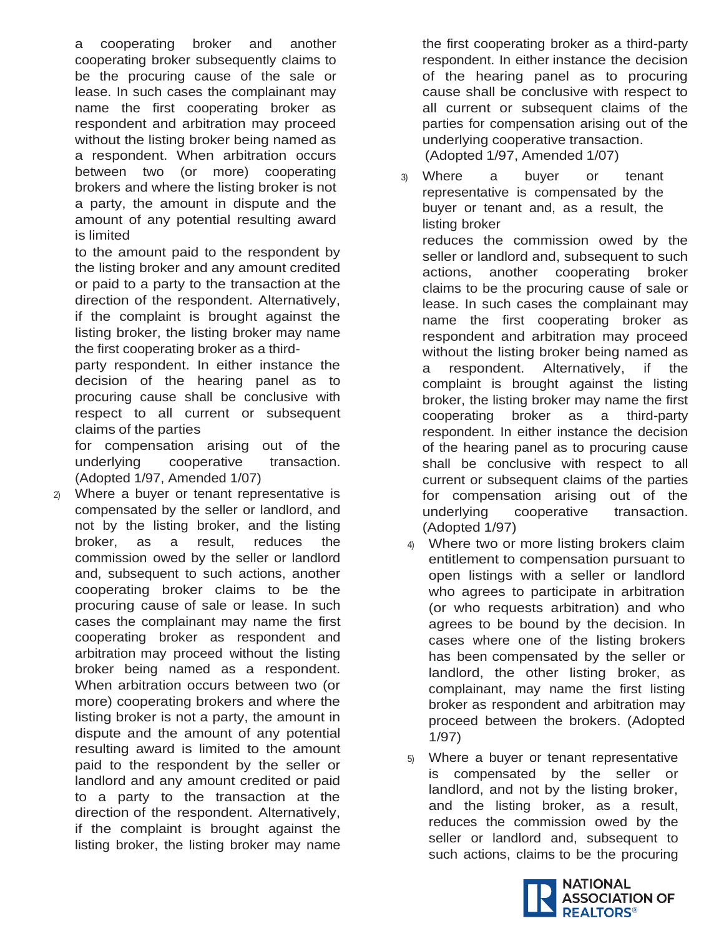a cooperating broker and another cooperating broker subsequently claims to be the procuring cause of the sale or lease. In such cases the complainant may name the first cooperating broker as respondent and arbitration may proceed without the listing broker being named as a respondent. When arbitration occurs between two (or more) cooperating brokers and where the listing broker is not a party, the amount in dispute and the amount of any potential resulting award is limited

to the amount paid to the respondent by the listing broker and any amount credited or paid to a party to the transaction at the direction of the respondent. Alternatively, if the complaint is brought against the listing broker, the listing broker may name the first cooperating broker as a third-

party respondent. In either instance the decision of the hearing panel as to procuring cause shall be conclusive with respect to all current or subsequent claims of the parties

for compensation arising out of the underlying cooperative transaction. (Adopted 1/97, Amended 1/07)

2) Where a buyer or tenant representative is compensated by the seller or landlord, and not by the listing broker, and the listing broker, as a result, reduces the commission owed by the seller or landlord and, subsequent to such actions, another cooperating broker claims to be the procuring cause of sale or lease. In such cases the complainant may name the first cooperating broker as respondent and arbitration may proceed without the listing broker being named as a respondent. When arbitration occurs between two (or more) cooperating brokers and where the listing broker is not a party, the amount in dispute and the amount of any potential resulting award is limited to the amount paid to the respondent by the seller or landlord and any amount credited or paid to a party to the transaction at the direction of the respondent. Alternatively, if the complaint is brought against the listing broker, the listing broker may name

the first cooperating broker as a third-party respondent. In either instance the decision of the hearing panel as to procuring cause shall be conclusive with respect to all current or subsequent claims of the parties for compensation arising out of the underlying cooperative transaction. (Adopted 1/97, Amended 1/07)

3) Where a buyer or tenant representative is compensated by the buyer or tenant and, as a result, the listing broker reduces the commission owed by the seller or landlord and, subsequent to such actions, another cooperating broker claims to be the procuring cause of sale or lease. In such cases the complainant may name the first cooperating broker as respondent and arbitration may proceed without the listing broker being named as a respondent. Alternatively, if the complaint is brought against the listing broker, the listing broker may name the first cooperating broker as a third-party respondent. In either instance the decision of the hearing panel as to procuring cause shall be conclusive with respect to all current or subsequent claims of the parties for compensation arising out of the underlying cooperative transaction. (Adopted 1/97)

- 4) Where two or more listing brokers claim entitlement to compensation pursuant to open listings with a seller or landlord who agrees to participate in arbitration (or who requests arbitration) and who agrees to be bound by the decision. In cases where one of the listing brokers has been compensated by the seller or landlord, the other listing broker, as complainant, may name the first listing broker as respondent and arbitration may proceed between the brokers. (Adopted 1/97)
- 5) Where a buyer or tenant representative is compensated by the seller or landlord, and not by the listing broker, and the listing broker, as a result, reduces the commission owed by the seller or landlord and, subsequent to such actions, claims to be the procuring